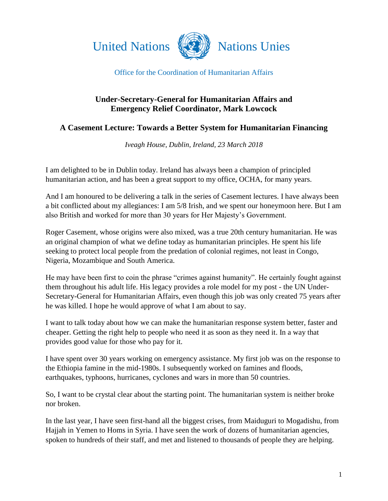



## Office for the Coordination of Humanitarian Affairs

## **Under-Secretary-General for Humanitarian Affairs and Emergency Relief Coordinator, Mark Lowcock**

## **A Casement Lecture: Towards a Better System for Humanitarian Financing**

*Iveagh House, Dublin, Ireland, 23 March 2018*

I am delighted to be in Dublin today. Ireland has always been a champion of principled humanitarian action, and has been a great support to my office, OCHA, for many years.

And I am honoured to be delivering a talk in the series of Casement lectures. I have always been a bit conflicted about my allegiances: I am 5/8 Irish, and we spent our honeymoon here. But I am also British and worked for more than 30 years for Her Majesty's Government.

Roger Casement, whose origins were also mixed, was a true 20th century humanitarian. He was an original champion of what we define today as humanitarian principles. He spent his life seeking to protect local people from the predation of colonial regimes, not least in Congo, Nigeria, Mozambique and South America.

He may have been first to coin the phrase "crimes against humanity". He certainly fought against them throughout his adult life. His legacy provides a role model for my post - the UN Under-Secretary-General for Humanitarian Affairs, even though this job was only created 75 years after he was killed. I hope he would approve of what I am about to say.

I want to talk today about how we can make the humanitarian response system better, faster and cheaper. Getting the right help to people who need it as soon as they need it. In a way that provides good value for those who pay for it.

I have spent over 30 years working on emergency assistance. My first job was on the response to the Ethiopia famine in the mid-1980s. I subsequently worked on famines and floods, earthquakes, typhoons, hurricanes, cyclones and wars in more than 50 countries.

So, I want to be crystal clear about the starting point. The humanitarian system is neither broke nor broken.

In the last year, I have seen first-hand all the biggest crises, from Maiduguri to Mogadishu, from Hajjah in Yemen to Homs in Syria. I have seen the work of dozens of humanitarian agencies, spoken to hundreds of their staff, and met and listened to thousands of people they are helping.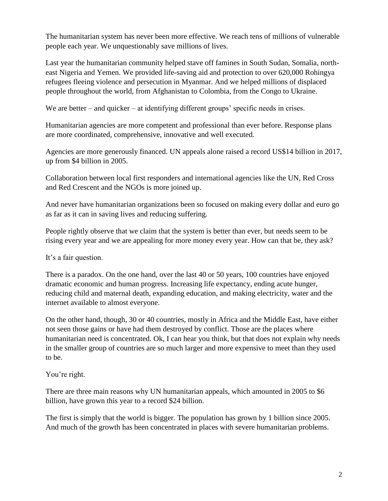The humanitarian system has never been more effective. We reach tens of millions of vulnerable people each year. We unquestionably save millions of lives.

Last year the humanitarian community helped stave off famines in South Sudan, Somalia, northeast Nigeria and Yemen. We provided life-saving aid and protection to over 620,000 Rohingya refugees fleeing violence and persecution in Myanmar. And we helped millions of displaced people throughout the world, from Afghanistan to Colombia, from the Congo to Ukraine.

We are better – and quicker – at identifying different groups' specific needs in crises.

Humanitarian agencies are more competent and professional than ever before. Response plans are more coordinated, comprehensive, innovative and well executed.

Agencies are more generously financed. UN appeals alone raised a record US\$14 billion in 2017, up from \$4 billion in 2005.

Collaboration between local first responders and international agencies like the UN, Red Cross and Red Crescent and the NGOs is more joined up.

And never have humanitarian organizations been so focused on making every dollar and euro go as far as it can in saving lives and reducing suffering.

People rightly observe that we claim that the system is better than ever, but needs seem to be rising every year and we are appealing for more money every year. How can that be, they ask?

It's a fair question.

There is a paradox. On the one hand, over the last 40 or 50 years, 100 countries have enjoyed dramatic economic and human progress. Increasing life expectancy, ending acute hunger, reducing child and maternal death, expanding education, and making electricity, water and the internet available to almost everyone.

On the other hand, though, 30 or 40 countries, mostly in Africa and the Middle East, have either not seen those gains or have had them destroyed by conflict. Those are the places where humanitarian need is concentrated. Ok, I can hear you think, but that does not explain why needs in the smaller group of countries are so much larger and more expensive to meet than they used to be.

## You're right.

There are three main reasons why UN humanitarian appeals, which amounted in 2005 to \$6 billion, have grown this year to a record \$24 billion.

The first is simply that the world is bigger. The population has grown by 1 billion since 2005. And much of the growth has been concentrated in places with severe humanitarian problems.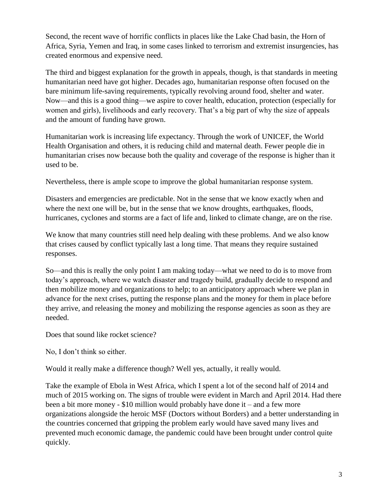Second, the recent wave of horrific conflicts in places like the Lake Chad basin, the Horn of Africa, Syria, Yemen and Iraq, in some cases linked to terrorism and extremist insurgencies, has created enormous and expensive need.

The third and biggest explanation for the growth in appeals, though, is that standards in meeting humanitarian need have got higher. Decades ago, humanitarian response often focused on the bare minimum life-saving requirements, typically revolving around food, shelter and water. Now—and this is a good thing—we aspire to cover health, education, protection (especially for women and girls), livelihoods and early recovery. That's a big part of why the size of appeals and the amount of funding have grown.

Humanitarian work is increasing life expectancy. Through the work of UNICEF, the World Health Organisation and others, it is reducing child and maternal death. Fewer people die in humanitarian crises now because both the quality and coverage of the response is higher than it used to be.

Nevertheless, there is ample scope to improve the global humanitarian response system.

Disasters and emergencies are predictable. Not in the sense that we know exactly when and where the next one will be, but in the sense that we know droughts, earthquakes, floods, hurricanes, cyclones and storms are a fact of life and, linked to climate change, are on the rise.

We know that many countries still need help dealing with these problems. And we also know that crises caused by conflict typically last a long time. That means they require sustained responses.

So—and this is really the only point I am making today—what we need to do is to move from today's approach, where we watch disaster and tragedy build, gradually decide to respond and then mobilize money and organizations to help; to an anticipatory approach where we plan in advance for the next crises, putting the response plans and the money for them in place before they arrive, and releasing the money and mobilizing the response agencies as soon as they are needed.

Does that sound like rocket science?

No, I don't think so either.

Would it really make a difference though? Well yes, actually, it really would.

Take the example of Ebola in West Africa, which I spent a lot of the second half of 2014 and much of 2015 working on. The signs of trouble were evident in March and April 2014. Had there been a bit more money - \$10 million would probably have done it – and a few more organizations alongside the heroic MSF (Doctors without Borders) and a better understanding in the countries concerned that gripping the problem early would have saved many lives and prevented much economic damage, the pandemic could have been brought under control quite quickly.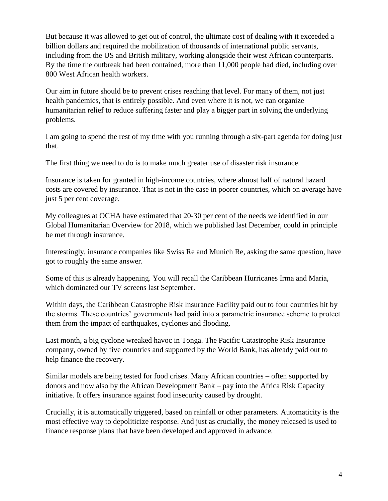But because it was allowed to get out of control, the ultimate cost of dealing with it exceeded a billion dollars and required the mobilization of thousands of international public servants, including from the US and British military, working alongside their west African counterparts. By the time the outbreak had been contained, more than 11,000 people had died, including over 800 West African health workers.

Our aim in future should be to prevent crises reaching that level. For many of them, not just health pandemics, that is entirely possible. And even where it is not, we can organize humanitarian relief to reduce suffering faster and play a bigger part in solving the underlying problems.

I am going to spend the rest of my time with you running through a six-part agenda for doing just that.

The first thing we need to do is to make much greater use of disaster risk insurance.

Insurance is taken for granted in high-income countries, where almost half of natural hazard costs are covered by insurance. That is not in the case in poorer countries, which on average have just 5 per cent coverage.

My colleagues at OCHA have estimated that 20-30 per cent of the needs we identified in our Global Humanitarian Overview for 2018, which we published last December, could in principle be met through insurance.

Interestingly, insurance companies like Swiss Re and Munich Re, asking the same question, have got to roughly the same answer.

Some of this is already happening. You will recall the Caribbean Hurricanes Irma and Maria, which dominated our TV screens last September.

Within days, the Caribbean Catastrophe Risk Insurance Facility paid out to four countries hit by the storms. These countries' governments had paid into a parametric insurance scheme to protect them from the impact of earthquakes, cyclones and flooding.

Last month, a big cyclone wreaked havoc in Tonga. The Pacific Catastrophe Risk Insurance company, owned by five countries and supported by the World Bank, has already paid out to help finance the recovery.

Similar models are being tested for food crises. Many African countries – often supported by donors and now also by the African Development Bank – pay into the Africa Risk Capacity initiative. It offers insurance against food insecurity caused by drought.

Crucially, it is automatically triggered, based on rainfall or other parameters. Automaticity is the most effective way to depoliticize response. And just as crucially, the money released is used to finance response plans that have been developed and approved in advance.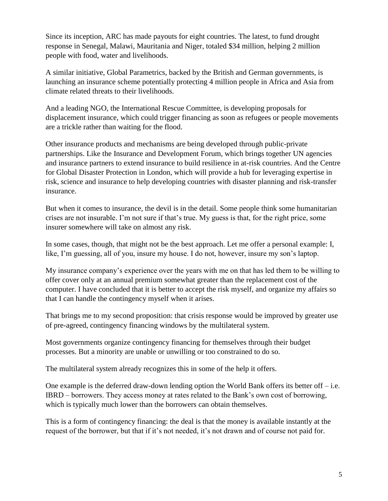Since its inception, ARC has made payouts for eight countries. The latest, to fund drought response in Senegal, Malawi, Mauritania and Niger, totaled \$34 million, helping 2 million people with food, water and livelihoods.

A similar initiative, Global Parametrics, backed by the British and German governments, is launching an insurance scheme potentially protecting 4 million people in Africa and Asia from climate related threats to their livelihoods.

And a leading NGO, the International Rescue Committee, is developing proposals for displacement insurance, which could trigger financing as soon as refugees or people movements are a trickle rather than waiting for the flood.

Other insurance products and mechanisms are being developed through public-private partnerships. Like the Insurance and Development Forum, which brings together UN agencies and insurance partners to extend insurance to build resilience in at-risk countries. And the Centre for Global Disaster Protection in London, which will provide a hub for leveraging expertise in risk, science and insurance to help developing countries with disaster planning and risk-transfer insurance.

But when it comes to insurance, the devil is in the detail. Some people think some humanitarian crises are not insurable. I'm not sure if that's true. My guess is that, for the right price, some insurer somewhere will take on almost any risk.

In some cases, though, that might not be the best approach. Let me offer a personal example: I, like, I'm guessing, all of you, insure my house. I do not, however, insure my son's laptop.

My insurance company's experience over the years with me on that has led them to be willing to offer cover only at an annual premium somewhat greater than the replacement cost of the computer. I have concluded that it is better to accept the risk myself, and organize my affairs so that I can handle the contingency myself when it arises.

That brings me to my second proposition: that crisis response would be improved by greater use of pre-agreed, contingency financing windows by the multilateral system.

Most governments organize contingency financing for themselves through their budget processes. But a minority are unable or unwilling or too constrained to do so.

The multilateral system already recognizes this in some of the help it offers.

One example is the deferred draw-down lending option the World Bank offers its better off – i.e. IBRD – borrowers. They access money at rates related to the Bank's own cost of borrowing, which is typically much lower than the borrowers can obtain themselves.

This is a form of contingency financing: the deal is that the money is available instantly at the request of the borrower, but that if it's not needed, it's not drawn and of course not paid for.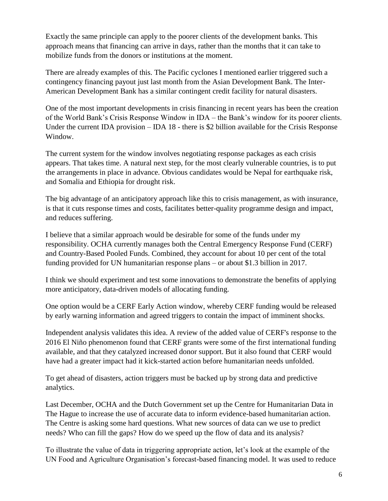Exactly the same principle can apply to the poorer clients of the development banks. This approach means that financing can arrive in days, rather than the months that it can take to mobilize funds from the donors or institutions at the moment.

There are already examples of this. The Pacific cyclones I mentioned earlier triggered such a contingency financing payout just last month from the Asian Development Bank. The Inter-American Development Bank has a similar contingent credit facility for natural disasters.

One of the most important developments in crisis financing in recent years has been the creation of the World Bank's Crisis Response Window in IDA – the Bank's window for its poorer clients. Under the current IDA provision – IDA 18 - there is \$2 billion available for the Crisis Response Window.

The current system for the window involves negotiating response packages as each crisis appears. That takes time. A natural next step, for the most clearly vulnerable countries, is to put the arrangements in place in advance. Obvious candidates would be Nepal for earthquake risk, and Somalia and Ethiopia for drought risk.

The big advantage of an anticipatory approach like this to crisis management, as with insurance, is that it cuts response times and costs, facilitates better-quality programme design and impact, and reduces suffering.

I believe that a similar approach would be desirable for some of the funds under my responsibility. OCHA currently manages both the Central Emergency Response Fund (CERF) and Country-Based Pooled Funds. Combined, they account for about 10 per cent of the total funding provided for UN humanitarian response plans – or about \$1.3 billion in 2017.

I think we should experiment and test some innovations to demonstrate the benefits of applying more anticipatory, data-driven models of allocating funding.

One option would be a CERF Early Action window, whereby CERF funding would be released by early warning information and agreed triggers to contain the impact of imminent shocks.

Independent analysis validates this idea. A review of the added value of CERF's response to the 2016 El Niño phenomenon found that CERF grants were some of the first international funding available, and that they catalyzed increased donor support. But it also found that CERF would have had a greater impact had it kick-started action before humanitarian needs unfolded.

To get ahead of disasters, action triggers must be backed up by strong data and predictive analytics.

Last December, OCHA and the Dutch Government set up the Centre for Humanitarian Data in The Hague to increase the use of accurate data to inform evidence-based humanitarian action. The Centre is asking some hard questions. What new sources of data can we use to predict needs? Who can fill the gaps? How do we speed up the flow of data and its analysis?

To illustrate the value of data in triggering appropriate action, let's look at the example of the UN Food and Agriculture Organisation's forecast-based financing model. It was used to reduce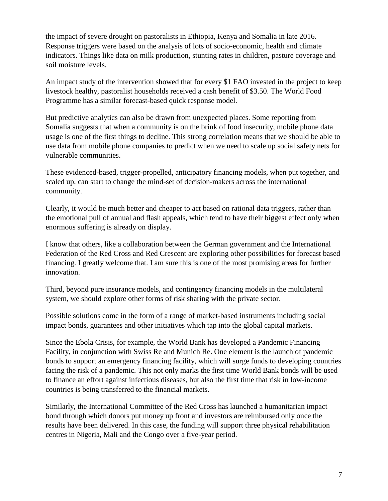the impact of severe drought on pastoralists in Ethiopia, Kenya and Somalia in late 2016. Response triggers were based on the analysis of lots of socio-economic, health and climate indicators. Things like data on milk production, stunting rates in children, pasture coverage and soil moisture levels.

An impact study of the intervention showed that for every \$1 FAO invested in the project to keep livestock healthy, pastoralist households received a cash benefit of \$3.50. The World Food Programme has a similar forecast-based quick response model.

But predictive analytics can also be drawn from unexpected places. Some reporting from Somalia suggests that when a community is on the brink of food insecurity, mobile phone data usage is one of the first things to decline. This strong correlation means that we should be able to use data from mobile phone companies to predict when we need to scale up social safety nets for vulnerable communities.

These evidenced-based, trigger-propelled, anticipatory financing models, when put together, and scaled up, can start to change the mind-set of decision-makers across the international community.

Clearly, it would be much better and cheaper to act based on rational data triggers, rather than the emotional pull of annual and flash appeals, which tend to have their biggest effect only when enormous suffering is already on display.

I know that others, like a collaboration between the German government and the International Federation of the Red Cross and Red Crescent are exploring other possibilities for forecast based financing. I greatly welcome that. I am sure this is one of the most promising areas for further innovation.

Third, beyond pure insurance models, and contingency financing models in the multilateral system, we should explore other forms of risk sharing with the private sector.

Possible solutions come in the form of a range of market-based instruments including social impact bonds, guarantees and other initiatives which tap into the global capital markets.

Since the Ebola Crisis, for example, the World Bank has developed a Pandemic Financing Facility, in conjunction with Swiss Re and Munich Re. One element is the launch of pandemic bonds to support an emergency financing facility, which will surge funds to developing countries facing the risk of a pandemic. This not only marks the first time World Bank bonds will be used to finance an effort against infectious diseases, but also the first time that risk in low-income countries is being transferred to the financial markets.

Similarly, the International Committee of the Red Cross has launched a humanitarian impact bond through which donors put money up front and investors are reimbursed only once the results have been delivered. In this case, the funding will support three physical rehabilitation centres in Nigeria, Mali and the Congo over a five-year period.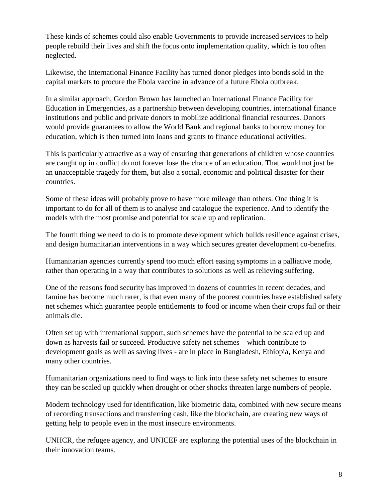These kinds of schemes could also enable Governments to provide increased services to help people rebuild their lives and shift the focus onto implementation quality, which is too often neglected.

Likewise, the International Finance Facility has turned donor pledges into bonds sold in the capital markets to procure the Ebola vaccine in advance of a future Ebola outbreak.

In a similar approach, Gordon Brown has launched an International Finance Facility for Education in Emergencies, as a partnership between developing countries, international finance institutions and public and private donors to mobilize additional financial resources. Donors would provide guarantees to allow the World Bank and regional banks to borrow money for education, which is then turned into loans and grants to finance educational activities.

This is particularly attractive as a way of ensuring that generations of children whose countries are caught up in conflict do not forever lose the chance of an education. That would not just be an unacceptable tragedy for them, but also a social, economic and political disaster for their countries.

Some of these ideas will probably prove to have more mileage than others. One thing it is important to do for all of them is to analyse and catalogue the experience. And to identify the models with the most promise and potential for scale up and replication.

The fourth thing we need to do is to promote development which builds resilience against crises, and design humanitarian interventions in a way which secures greater development co-benefits.

Humanitarian agencies currently spend too much effort easing symptoms in a palliative mode, rather than operating in a way that contributes to solutions as well as relieving suffering.

One of the reasons food security has improved in dozens of countries in recent decades, and famine has become much rarer, is that even many of the poorest countries have established safety net schemes which guarantee people entitlements to food or income when their crops fail or their animals die.

Often set up with international support, such schemes have the potential to be scaled up and down as harvests fail or succeed. Productive safety net schemes – which contribute to development goals as well as saving lives - are in place in Bangladesh, Ethiopia, Kenya and many other countries.

Humanitarian organizations need to find ways to link into these safety net schemes to ensure they can be scaled up quickly when drought or other shocks threaten large numbers of people.

Modern technology used for identification, like biometric data, combined with new secure means of recording transactions and transferring cash, like the blockchain, are creating new ways of getting help to people even in the most insecure environments.

UNHCR, the refugee agency, and UNICEF are exploring the potential uses of the blockchain in their innovation teams.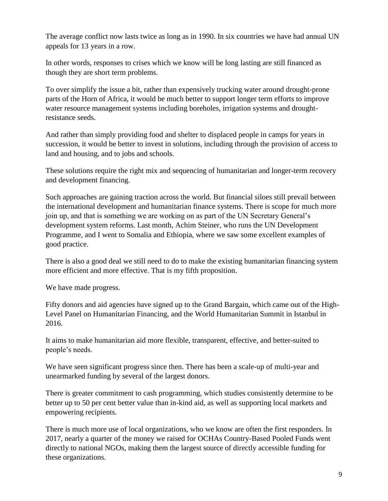The average conflict now lasts twice as long as in 1990. In six countries we have had annual UN appeals for 13 years in a row.

In other words, responses to crises which we know will be long lasting are still financed as though they are short term problems.

To over simplify the issue a bit, rather than expensively trucking water around drought-prone parts of the Horn of Africa, it would be much better to support longer term efforts to improve water resource management systems including boreholes, irrigation systems and droughtresistance seeds.

And rather than simply providing food and shelter to displaced people in camps for years in succession, it would be better to invest in solutions, including through the provision of access to land and housing, and to jobs and schools.

These solutions require the right mix and sequencing of humanitarian and longer-term recovery and development financing.

Such approaches are gaining traction across the world. But financial siloes still prevail between the international development and humanitarian finance systems. There is scope for much more join up, and that is something we are working on as part of the UN Secretary General's development system reforms. Last month, Achim Steiner, who runs the UN Development Programme, and I went to Somalia and Ethiopia, where we saw some excellent examples of good practice.

There is also a good deal we still need to do to make the existing humanitarian financing system more efficient and more effective. That is my fifth proposition.

We have made progress.

Fifty donors and aid agencies have signed up to the Grand Bargain, which came out of the High-Level Panel on Humanitarian Financing, and the World Humanitarian Summit in Istanbul in 2016.

It aims to make humanitarian aid more flexible, transparent, effective, and better-suited to people's needs.

We have seen significant progress since then. There has been a scale-up of multi-year and unearmarked funding by several of the largest donors.

There is greater commitment to cash programming, which studies consistently determine to be better up to 50 per cent better value than in-kind aid, as well as supporting local markets and empowering recipients.

There is much more use of local organizations, who we know are often the first responders. In 2017, nearly a quarter of the money we raised for OCHAs Country-Based Pooled Funds went directly to national NGOs, making them the largest source of directly accessible funding for these organizations.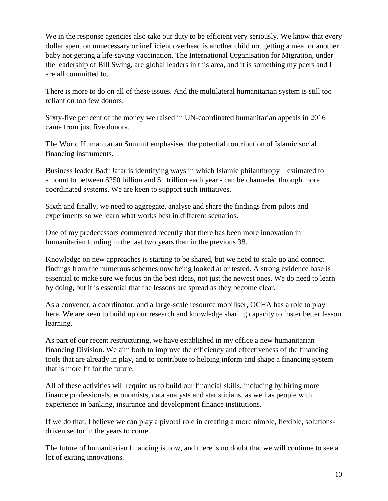We in the response agencies also take our duty to be efficient very seriously. We know that every dollar spent on unnecessary or inefficient overhead is another child not getting a meal or another baby not getting a life-saving vaccination. The International Organisation for Migration, under the leadership of Bill Swing, are global leaders in this area, and it is something my peers and I are all committed to.

There is more to do on all of these issues. And the multilateral humanitarian system is still too reliant on too few donors.

Sixty-five per cent of the money we raised in UN-coordinated humanitarian appeals in 2016 came from just five donors.

The World Humanitarian Summit emphasised the potential contribution of Islamic social financing instruments.

Business leader Badr Jafar is identifying ways in which Islamic philanthropy – estimated to amount to between \$250 billion and \$1 trillion each year - can be channeled through more coordinated systems. We are keen to support such initiatives.

Sixth and finally, we need to aggregate, analyse and share the findings from pilots and experiments so we learn what works best in different scenarios.

One of my predecessors commented recently that there has been more innovation in humanitarian funding in the last two years than in the previous 38.

Knowledge on new approaches is starting to be shared, but we need to scale up and connect findings from the numerous schemes now being looked at or tested. A strong evidence base is essential to make sure we focus on the best ideas, not just the newest ones. We do need to learn by doing, but it is essential that the lessons are spread as they become clear.

As a convener, a coordinator, and a large-scale resource mobiliser, OCHA has a role to play here. We are keen to build up our research and knowledge sharing capacity to foster better lesson learning.

As part of our recent restructuring, we have established in my office a new humanitarian financing Division. We aim both to improve the efficiency and effectiveness of the financing tools that are already in play, and to contribute to helping inform and shape a financing system that is more fit for the future.

All of these activities will require us to build our financial skills, including by hiring more finance professionals, economists, data analysts and statisticians, as well as people with experience in banking, insurance and development finance institutions.

If we do that, I believe we can play a pivotal role in creating a more nimble, flexible, solutionsdriven sector in the years to come.

The future of humanitarian financing is now, and there is no doubt that we will continue to see a lot of exiting innovations.